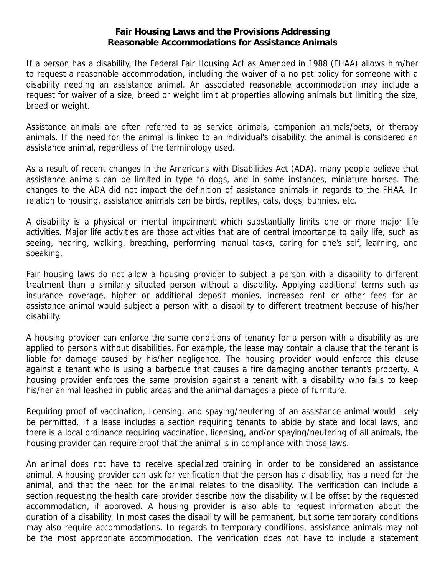## **Fair Housing Laws and the Provisions Addressing Reasonable Accommodations for Assistance Animals**

If a person has a disability, the Federal Fair Housing Act as Amended in 1988 (FHAA) allows him/her to request a reasonable accommodation, including the waiver of a no pet policy for someone with a disability needing an assistance animal. An associated reasonable accommodation may include a request for waiver of a size, breed or weight limit at properties allowing animals but limiting the size, breed or weight.

Assistance animals are often referred to as service animals, companion animals/pets, or therapy animals. If the need for the animal is linked to an individual's disability, the animal is considered an assistance animal, regardless of the terminology used.

As a result of recent changes in the Americans with Disabilities Act (ADA), many people believe that assistance animals can be limited in type to dogs, and in some instances, miniature horses. The changes to the ADA did not impact the definition of assistance animals in regards to the FHAA. In relation to housing, assistance animals can be birds, reptiles, cats, dogs, bunnies, etc.

A disability is a physical or mental impairment which substantially limits one or more major life activities. Major life activities are those activities that are of central importance to daily life, such as seeing, hearing, walking, breathing, performing manual tasks, caring for one's self, learning, and speaking.

Fair housing laws do not allow a housing provider to subject a person with a disability to different treatment than a similarly situated person without a disability. Applying additional terms such as insurance coverage, higher or additional deposit monies, increased rent or other fees for an assistance animal would subject a person with a disability to different treatment because of his/her disability.

A housing provider can enforce the same conditions of tenancy for a person with a disability as are applied to persons without disabilities. For example, the lease may contain a clause that the tenant is liable for damage caused by his/her negligence. The housing provider would enforce this clause against a tenant who is using a barbecue that causes a fire damaging another tenant's property. A housing provider enforces the same provision against a tenant with a disability who fails to keep his/her animal leashed in public areas and the animal damages a piece of furniture.

Requiring proof of vaccination, licensing, and spaying/neutering of an assistance animal would likely be permitted. If a lease includes a section requiring tenants to abide by state and local laws, and there is a local ordinance requiring vaccination, licensing, and/or spaying/neutering of all animals, the housing provider can require proof that the animal is in compliance with those laws.

An animal does not have to receive specialized training in order to be considered an assistance animal. A housing provider can ask for verification that the person has a disability, has a need for the animal, and that the need for the animal relates to the disability. The verification can include a section requesting the health care provider describe how the disability will be offset by the requested accommodation, if approved. A housing provider is also able to request information about the duration of a disability. In most cases the disability will be permanent, but some temporary conditions may also require accommodations. In regards to temporary conditions, assistance animals may not be the most appropriate accommodation. The verification does not have to include a statement